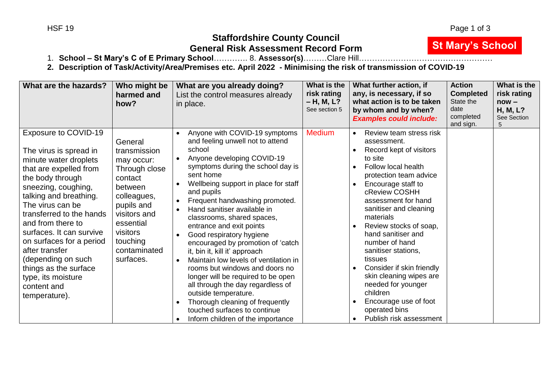**St Mary's School**

# **Staffordshire County Council General Risk Assessment Record Form**

1. **School – St Mary's C of E Primary School**…………. 8. **Assessor(s)**………Clare Hill……………………………………………

**2. Description of Task/Activity/Area/Premises etc. April 2022 - Minimising the risk of transmission of COVID-19**

| What are the hazards?                                                                                                                                                                                                                                                                                                                                                                                                      | Who might be<br>harmed and<br>how?                                                                                                                                                          | What are you already doing?<br>List the control measures already<br>in place.                                                                                                                                                                                                                                                                                                                                                                                                                                                                                                                                                                                                                                                                                                                                      | What is the<br>risk rating<br>$- H, M, L?$<br>See section 5 | What further action, if<br>any, is necessary, if so<br>what action is to be taken<br>by whom and by when?<br><b>Examples could include:</b>                                                                                                                                                                                                                                                                                                                                                                        | <b>Action</b><br><b>Completed</b><br>State the<br>date<br>completed<br>and sign. | What is the<br>risk rating<br>$now -$<br>H, M, L?<br>See Section<br>5 |
|----------------------------------------------------------------------------------------------------------------------------------------------------------------------------------------------------------------------------------------------------------------------------------------------------------------------------------------------------------------------------------------------------------------------------|---------------------------------------------------------------------------------------------------------------------------------------------------------------------------------------------|--------------------------------------------------------------------------------------------------------------------------------------------------------------------------------------------------------------------------------------------------------------------------------------------------------------------------------------------------------------------------------------------------------------------------------------------------------------------------------------------------------------------------------------------------------------------------------------------------------------------------------------------------------------------------------------------------------------------------------------------------------------------------------------------------------------------|-------------------------------------------------------------|--------------------------------------------------------------------------------------------------------------------------------------------------------------------------------------------------------------------------------------------------------------------------------------------------------------------------------------------------------------------------------------------------------------------------------------------------------------------------------------------------------------------|----------------------------------------------------------------------------------|-----------------------------------------------------------------------|
| Exposure to COVID-19<br>The virus is spread in<br>minute water droplets<br>that are expelled from<br>the body through<br>sneezing, coughing,<br>talking and breathing.<br>The virus can be<br>transferred to the hands<br>and from there to<br>surfaces. It can survive<br>on surfaces for a period<br>after transfer<br>(depending on such<br>things as the surface<br>type, its moisture<br>content and<br>temperature). | General<br>transmission<br>may occur:<br>Through close<br>contact<br>between<br>colleagues,<br>pupils and<br>visitors and<br>essential<br>visitors<br>touching<br>contaminated<br>surfaces. | Anyone with COVID-19 symptoms<br>and feeling unwell not to attend<br>school<br>Anyone developing COVID-19<br>symptoms during the school day is<br>sent home<br>Wellbeing support in place for staff<br>$\bullet$<br>and pupils<br>Frequent handwashing promoted.<br>$\bullet$<br>Hand sanitiser available in<br>$\bullet$<br>classrooms, shared spaces,<br>entrance and exit points<br>Good respiratory hygiene<br>$\bullet$<br>encouraged by promotion of 'catch<br>it, bin it, kill it' approach<br>Maintain low levels of ventilation in<br>$\bullet$<br>rooms but windows and doors no<br>longer will be required to be open<br>all through the day regardless of<br>outside temperature.<br>Thorough cleaning of frequently<br>$\bullet$<br>touched surfaces to continue<br>Inform children of the importance | <b>Medium</b>                                               | Review team stress risk<br>$\bullet$<br>assessment.<br>Record kept of visitors<br>to site<br>Follow local health<br>protection team advice<br>Encourage staff to<br>cReview COSHH<br>assessment for hand<br>sanitiser and cleaning<br>materials<br>Review stocks of soap,<br>hand sanitiser and<br>number of hand<br>sanitiser stations,<br>tissues<br>Consider if skin friendly<br>skin cleaning wipes are<br>needed for younger<br>children<br>Encourage use of foot<br>operated bins<br>Publish risk assessment |                                                                                  |                                                                       |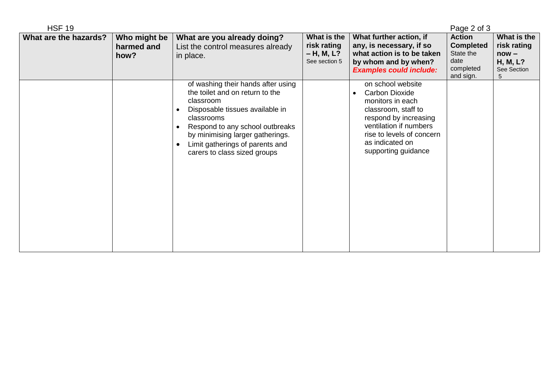| <b>HSF 19</b>         |                                    |                                                                                                                                                                                                                                                                                                   |                                                             |                                                                                                                                                                                                                              | Page 2 of 3                                                                      |                                                                       |
|-----------------------|------------------------------------|---------------------------------------------------------------------------------------------------------------------------------------------------------------------------------------------------------------------------------------------------------------------------------------------------|-------------------------------------------------------------|------------------------------------------------------------------------------------------------------------------------------------------------------------------------------------------------------------------------------|----------------------------------------------------------------------------------|-----------------------------------------------------------------------|
| What are the hazards? | Who might be<br>harmed and<br>how? | What are you already doing?<br>List the control measures already<br>in place.                                                                                                                                                                                                                     | What is the<br>risk rating<br>$- H, M, L?$<br>See section 5 | What further action, if<br>any, is necessary, if so<br>what action is to be taken<br>by whom and by when?<br><b>Examples could include:</b>                                                                                  | <b>Action</b><br><b>Completed</b><br>State the<br>date<br>completed<br>and sign. | What is the<br>risk rating<br>$now -$<br>H, M, L?<br>See Section<br>5 |
|                       |                                    | of washing their hands after using<br>the toilet and on return to the<br>classroom<br>Disposable tissues available in<br>$\bullet$<br>classrooms<br>Respond to any school outbreaks<br>by minimising larger gatherings.<br>Limit gatherings of parents and<br>- 0<br>carers to class sized groups |                                                             | on school website<br><b>Carbon Dioxide</b><br>$\bullet$<br>monitors in each<br>classroom, staff to<br>respond by increasing<br>ventilation if numbers<br>rise to levels of concern<br>as indicated on<br>supporting guidance |                                                                                  |                                                                       |